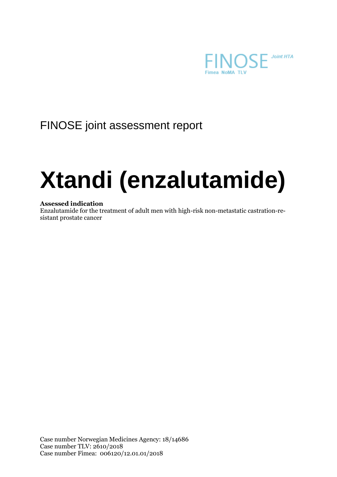

## FINOSE joint assessment report

# **Xtandi (enzalutamide)**

### **Assessed indication**

Enzalutamide for the treatment of adult men with high-risk non-metastatic castration-resistant prostate cancer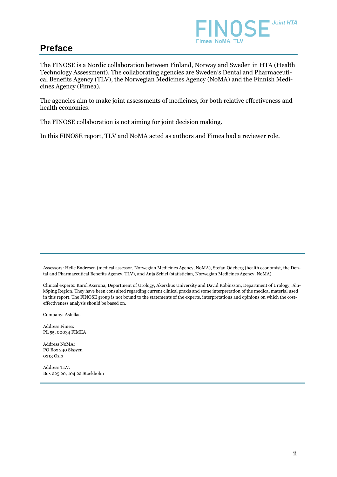

### **Preface**

The FINOSE is a Nordic collaboration between Finland, Norway and Sweden in HTA (Health Technology Assessment). The collaborating agencies are Sweden's Dental and Pharmaceutical Benefits Agency (TLV), the Norwegian Medicines Agency (NoMA) and the Finnish Medicines Agency (Fimea).

The agencies aim to make joint assessments of medicines, for both relative effectiveness and health economics.

The FINOSE collaboration is not aiming for joint decision making.

In this FINOSE report, TLV and NoMA acted as authors and Fimea had a reviewer role.

Assessors: Helle Endresen (medical assessor, Norwegian Medicines Agency, NoMA), Stefan Odeberg (health economist, the Dental and Pharmaceutical Benefits Agency, TLV), and Anja Schiel (statistician, Norwegian Medicines Agency, NoMA)

Clinical experts: Karol Axcrona, Department of Urology, Akershus University and David Robinsson, Department of Urology, Jönköping Region. They have been consulted regarding current clinical praxis and some interpretation of the medical material used in this report. The FINOSE group is not bound to the statements of the experts, interpretations and opinions on which the costeffectiveness analysis should be based on.

Company: Astellas

Address Fimea: PL 55, 00034 FIMEA

Address NoMA: PO Box 240 Skøyen 0213 Oslo

Address TLV: Box 225 20, 104 22 Stockholm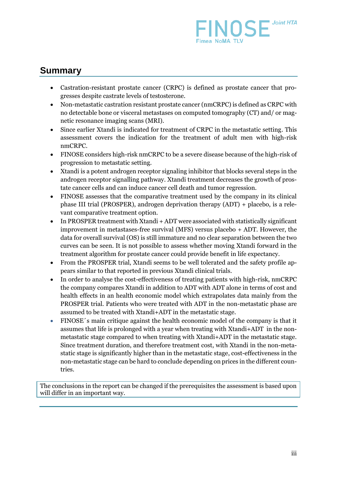

### **Summary**

- Castration-resistant prostate cancer (CRPC) is defined as prostate cancer that progresses despite castrate levels of testosterone.
- Non-metastatic castration resistant prostate cancer (nmCRPC) is defined as CRPC with no detectable bone or visceral metastases on computed tomography (CT) and/ or magnetic resonance imaging scans (MRI).
- Since earlier Xtandi is indicated for treatment of CRPC in the metastatic setting. This assessment covers the indication for the treatment of adult men with high-risk nmCRPC.
- FINOSE considers high-risk nmCRPC to be a severe disease because of the high-risk of progression to metastatic setting.
- Xtandi is a potent androgen receptor signaling inhibitor that blocks several steps in the androgen receptor signalling pathway. Xtandi treatment decreases the growth of prostate cancer cells and can induce cancer cell death and tumor regression.
- FINOSE assesses that the comparative treatment used by the company in its clinical phase III trial (PROSPER), androgen deprivation therapy (ADT) + placebo, is a relevant comparative treatment option.
- In PROSPER treatment with Xtandi + ADT were associated with statistically significant improvement in metastases-free survival (MFS) versus placebo + ADT. However, the data for overall survival (OS) is still immature and no clear separation between the two curves can be seen. It is not possible to assess whether moving Xtandi forward in the treatment algorithm for prostate cancer could provide benefit in life expectancy.
- From the PROSPER trial, Xtandi seems to be well tolerated and the safety profile appears similar to that reported in previous Xtandi clinical trials.
- In order to analyse the cost-effectiveness of treating patients with high-risk, nmCRPC the company compares Xtandi in addition to ADT with ADT alone in terms of cost and health effects in an health economic model which extrapolates data mainly from the PROSPER trial. Patients who were treated with ADT in the non-metastatic phase are assumed to be treated with Xtandi+ADT in the metastatic stage.
- FINOSE´s main critique against the health economic model of the company is that it assumes that life is prolonged with a year when treating with Xtandi+ADT in the nonmetastatic stage compared to when treating with Xtandi+ADT in the metastatic stage. Since treatment duration, and therefore treatment cost, with Xtandi in the non-metastatic stage is significantly higher than in the metastatic stage, cost-effectiveness in the non-metastatic stage can be hard to conclude depending on prices in the different countries.

The conclusions in the report can be changed if the prerequisites the assessment is based upon will differ in an important way.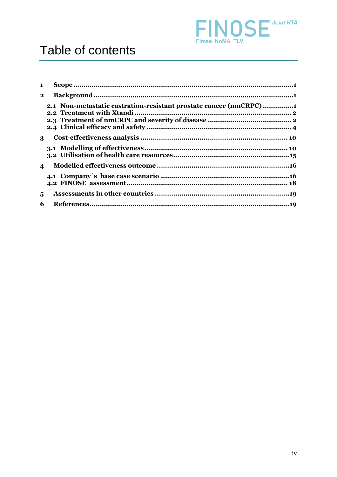

| $\blacksquare$          |                                                                   |  |
|-------------------------|-------------------------------------------------------------------|--|
| $\mathbf{2}$            |                                                                   |  |
|                         | 2.1 Non-metastatic castration-resistant prostate cancer (nmCRPC)1 |  |
| 3                       |                                                                   |  |
|                         |                                                                   |  |
| $\overline{\mathbf{4}}$ |                                                                   |  |
|                         |                                                                   |  |
| 5                       |                                                                   |  |
| 6                       |                                                                   |  |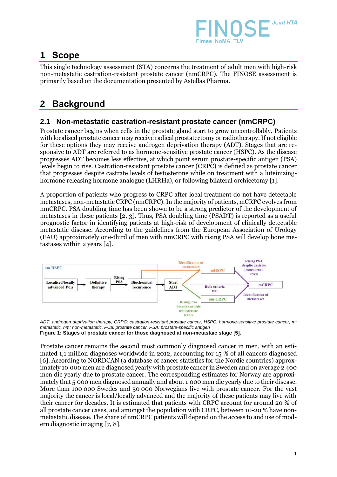

### **1 Scope**

This single technology assessment (STA) concerns the treatment of adult men with high-risk non-metastatic castration-resistant prostate cancer (nmCRPC). The FINOSE assessment is primarily based on the documentation presented by Astellas Pharma.

### **2 Background**

### **2.1 Non-metastatic castration-resistant prostate cancer (nmCRPC)**

Prostate cancer begins when cells in the prostate gland start to grow uncontrollably. Patients with localised prostate cancer may receive radical prostatectomy or radiotherapy. If not eligible for these options they may receive androgen deprivation therapy (ADT). Stages that are responsive to ADT are referred to as hormone-sensitive prostate cancer (HSPC). As the disease progresses ADT becomes less effective, at which point serum prostate-specific antigen (PSA) levels begin to rise. Castration-resistant prostate cancer (CRPC) is defined as prostate cancer that progresses despite castrate levels of testosterone while on treatment with a luteinizinghormone releasing hormone analogue (LHRHa), or following bilateral orchiectomy [\[1\]](#page-22-0).

A proportion of patients who progress to CRPC after local treatment do not have detectable metastases, non-metastatic CRPC (nmCRPC). In the majority of patients, mCRPC evolves from nmCRPC. PSA doubling time has been shown to be a strong predictor of the development of metastases in these patients [\[2,](#page-22-1) [3\]](#page-22-2). Thus, PSA doubling time (PSADT) is reported as a useful prognostic factor in identifying patients at high-risk of development of clinically detectable metastatic disease. According to the guidelines from the European Association of Urology (EAU) approximately one-third of men with nmCRPC with rising PSA will develop bone metastases within 2 years [\[4\]](#page-22-3).



*ADT: androgen deprivation therapy, CRPC: castration-resistant prostate cancer, HSPC: hormone-sensitive prostate cancer, m: metastatic, nm: non-metastatic, PCa: prostate cancer, PSA: prostate-specific antigen* **Figure 1: Stages of prostate cancer for those diagnosed at non-metastaic stage [\[5\]](#page-22-4).**

Prostate cancer remains the second most commonly diagnosed cancer in men, with an estimated 1,1 million diagnoses worldwide in 2012, accounting for 15 % of all cancers diagnosed [\[6\]](#page-22-5). According to NORDCAN (a database of cancer statistics for the Nordic countries) approximately 10 000 men are diagnosed yearly with prostate cancer in Sweden and on average 2 400 men die yearly due to prostate cancer. The corresponding estimates for Norway are approximately that 5 000 men diagnosed annually and about 1 000 men die yearly due to their disease. More than 100 000 Swedes and 50 000 Norwegians live with prostate cancer. For the vast majority the cancer is local/locally advanced and the majority of these patients may live with their cancer for decades. It is estimated that patients with CRPC account for around 20 % of all prostate cancer cases, and amongst the population with CRPC, between 10-20 % have nonmetastatic disease. The share of nmCRPC patients will depend on the access to and use of modern diagnostic imaging [\[7,](#page-22-6) [8\]](#page-22-7).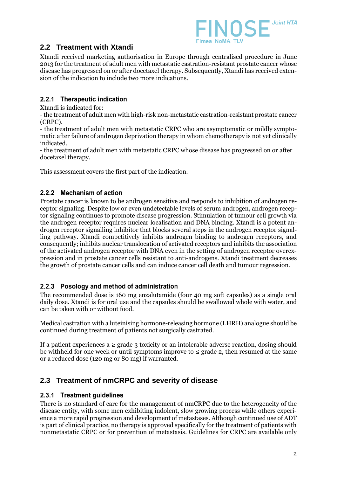

### **2.2 Treatment with Xtandi**

Xtandi received marketing authorisation in Europe through centralised procedure in June 2013 for the treatment of adult men with metastatic castration-resistant prostate cancer whose disease has progressed on or after docetaxel therapy. Subsequently, Xtandi has received extension of the indication to include two more indications.

### 2.2.1 Therapeutic indication

Xtandi is indicated for:

- the treatment of adult men with high-risk non-metastatic castration-resistant prostate cancer (CRPC).

- the treatment of adult men with metastatic CRPC who are asymptomatic or mildly symptomatic after failure of androgen deprivation therapy in whom chemotherapy is not yet clinically indicated.

- the treatment of adult men with metastatic CRPC whose disease has progressed on or after docetaxel therapy.

This assessment covers the first part of the indication.

### 2.2.2 Mechanism of action

Prostate cancer is known to be androgen sensitive and responds to inhibition of androgen receptor signaling. Despite low or even undetectable levels of serum androgen, androgen receptor signaling continues to promote disease progression. Stimulation of tumour cell growth via the androgen receptor requires nuclear localisation and DNA binding. Xtandi is a potent androgen receptor signalling inhibitor that blocks several steps in the androgen receptor signalling pathway. Xtandi competitively inhibits androgen binding to androgen receptors, and consequently; inhibits nuclear translocation of activated receptors and inhibits the association of the activated androgen receptor with DNA even in the setting of androgen receptor overexpression and in prostate cancer cells resistant to anti-androgens. Xtandi treatment decreases the growth of prostate cancer cells and can induce cancer cell death and tumour regression.

### 2.2.3 Posology and method of administration

The recommended dose is 160 mg enzalutamide (four 40 mg soft capsules) as a single oral daily dose. Xtandi is for oral use and the capsules should be swallowed whole with water, and can be taken with or without food.

Medical castration with a luteinising hormone-releasing hormone (LHRH) analogue should be continued during treatment of patients not surgically castrated.

If a patient experiences a  $\geq$  grade 3 toxicity or an intolerable adverse reaction, dosing should be withheld for one week or until symptoms improve to  $\leq$  grade 2, then resumed at the same or a reduced dose (120 mg or 80 mg) if warranted.

### **2.3 Treatment of nmCRPC and severity of disease**

### 2.3.1 Treatment guidelines

There is no standard of care for the management of nmCRPC due to the heterogeneity of the disease entity, with some men exhibiting indolent, slow growing process while others experience a more rapid progression and development of metastases. Although continued use of ADT is part of clinical practice, no therapy is approved specifically for the treatment of patients with nonmetastatic CRPC or for prevention of metastasis. Guidelines for CRPC are available only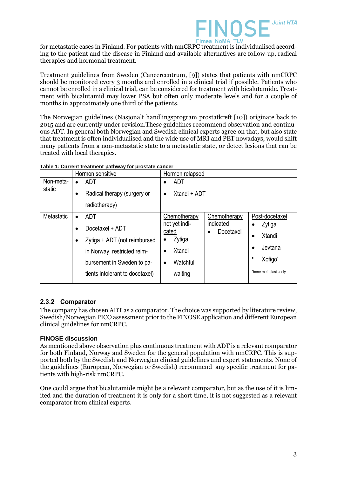

for metastatic cases in Finland. For patients with nmCRPC treatment is individualised according to the patient and the disease in Finland and available alternatives are follow-up, radical therapies and hormonal treatment.

Treatment guidelines from Sweden (Cancercentrum, [\[9\]](#page-22-8)) states that patients with nmCRPC should be monitored every 3 months and enrolled in a clinical trial if possible. Patients who cannot be enrolled in a clinical trial, can be considered for treatment with bicalutamide. Treatment with bicalutamid may lower PSA but often only moderate levels and for a couple of months in approximately one third of the patients.

The Norwegian guidelines (Nasjonalt handlingsprogram prostatkreft [\[10\]](#page-22-9)) originate back to 2015 and are currently under revision.These guidelines recommend observation and continuous ADT. In general both Norwegian and Swedish clinical experts agree on that, but also state that treatment is often individualised and the wide use of MRI and PET nowadays, would shift many patients from a non-metastatic state to a metastatic state, or detect lesions that can be treated with local therapies.

|                     | Hormon sensitive                         | Hormon relapsed                           |                       |  |
|---------------------|------------------------------------------|-------------------------------------------|-----------------------|--|
| Non-meta-<br>static | ADT                                      | <b>ADT</b><br>$\bullet$                   |                       |  |
|                     | Radical therapy (surgery or<br>$\bullet$ | Xtandi + ADT<br>$\bullet$                 |                       |  |
|                     | radiotherapy)                            |                                           |                       |  |
| Metastatic          | <b>ADT</b><br>$\bullet$                  | Chemotherapy<br>Chemotherapy<br>indicated | Post-docetaxel        |  |
|                     | Docetaxel + ADT                          | not yet indi-<br>cated<br>Docetaxel       | Zytiga                |  |
|                     | Zytiga + ADT (not reimbursed             | Zytiga                                    | Xtandi                |  |
|                     | in Norway, restricted reim-              | Xtandi                                    | Jevtana               |  |
|                     | bursement in Sweden to pa-               | Watchful<br>$\bullet$                     | Xofigo*               |  |
|                     | tients intolerant to docetaxel)          | waiting                                   | *bone metastasis only |  |

| Table 1: Current treatment pathway for prostate cancer |  |  |
|--------------------------------------------------------|--|--|
|                                                        |  |  |

### 2.3.2 Comparator

The company has chosen ADT as a comparator. The choice was supported by literature review, Swedish/Norwegian PICO assessment prior to the FINOSE application and different European clinical guidelines for nmCRPC.

### **FINOSE discussion**

As mentioned above observation plus continuous treatment with ADT is a relevant comparator for both Finland, Norway and Sweden for the general population with nmCRPC. This is supported both by the Swedish and Norwegian clinical guidelines and expert statements. None of the guidelines (European, Norwegian or Swedish) recommend any specific treatment for patients with high-risk nmCRPC.

One could argue that bicalutamide might be a relevant comparator, but as the use of it is limited and the duration of treatment it is only for a short time, it is not suggested as a relevant comparator from clinical experts.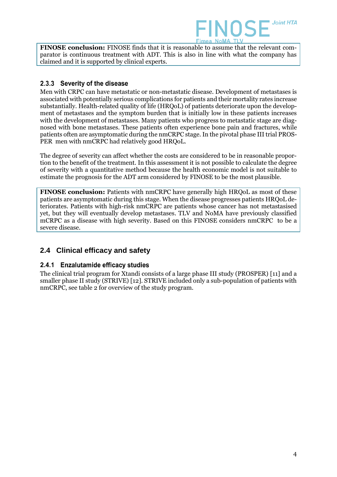

**FINOSE conclusion:** FINOSE finds that it is reasonable to assume that the relevant comparator is continuous treatment with ADT. This is also in line with what the company has claimed and it is supported by clinical experts.

### 2.3.3 Severity of the disease

Men with CRPC can have metastatic or non-metastatic disease. Development of metastases is associated with potentially serious complications for patients and their mortality rates increase substantially. Health-related quality of life (HRQoL) of patients deteriorate upon the development of metastases and the symptom burden that is initially low in these patients increases with the development of metastases. Many patients who progress to metastatic stage are diagnosed with bone metastases. These patients often experience bone pain and fractures, while patients often are asymptomatic during the nmCRPC stage. In the pivotal phase III trial PROS-PER men with nmCRPC had relatively good HRQoL.

The degree of severity can affect whether the costs are considered to be in reasonable proportion to the benefit of the treatment. In this assessment it is not possible to calculate the degree of severity with a quantitative method because the health economic model is not suitable to estimate the prognosis for the ADT arm considered by FINOSE to be the most plausible.

**FINOSE conclusion:** Patients with nmCRPC have generally high HRQoL as most of these patients are asymptomatic during this stage. When the disease progresses patients HRQoL deteriorates. Patients with high-risk nmCRPC are patients whose cancer has not metastasised yet, but they will eventually develop metastases. TLV and NoMA have previously classified mCRPC as a disease with high severity. Based on this FINOSE considers nmCRPC to be a severe disease.

### **2.4 Clinical efficacy and safety**

### 2.4.1 Enzalutamide efficacy studies

The clinical trial program for Xtandi consists of a large phase III study (PROSPER) [\[11\]](#page-22-10) and a smaller phase II study (STRIVE) [\[12\]](#page-22-11). STRIVE included only a sub-population of patients with nmCRPC, see table 2 for overview of the study program.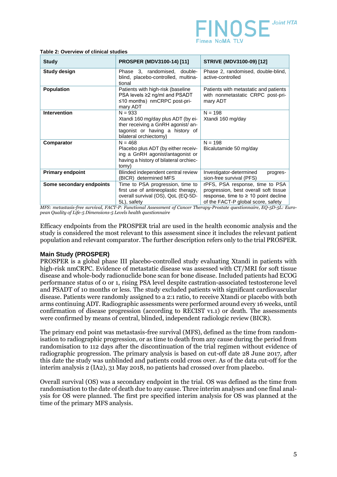

| <b>Study</b>             | <b>PROSPER (MDV3100-14) [11]</b>                                                                                                                   | <b>STRIVE (MDV3100-09) [12]</b>                                                                                                                             |  |
|--------------------------|----------------------------------------------------------------------------------------------------------------------------------------------------|-------------------------------------------------------------------------------------------------------------------------------------------------------------|--|
| <b>Study design</b>      | Phase 3, randomised, double-<br>blind, placebo-controlled, multina-<br>tional                                                                      | Phase 2, randomised, double-blind,<br>active-controlled                                                                                                     |  |
| <b>Population</b>        | Patients with high-risk (baseline<br>PSA levels ≥2 ng/ml and PSADT<br>$\leq$ 10 months) nmCRPC post-pri-<br>mary ADT                               | Patients with metastatic and patients<br>with nonmetastatic CRPC post-pri-<br>mary ADT                                                                      |  |
| <b>Intervention</b>      | $N = 933$<br>Xtandi 160 mg/day plus ADT (by ei-<br>ther receiving a GnRH agonist/ an-<br>tagonist or having a history of<br>bilateral orchiectomy) | $N = 198$<br>Xtandi 160 mg/day                                                                                                                              |  |
| Comparator               | $N = 468$<br>Placebo plus ADT (by either receiv-<br>ing a GnRH agonist/antagonist or<br>having a history of bilateral orchiec-<br>tomy)            | $N = 198$<br>Bicalutamide 50 mg/day                                                                                                                         |  |
| <b>Primary endpoint</b>  | Blinded independent central review<br>(BICR) determined MFS                                                                                        | Investigator-determined<br>progres-<br>sion-free survival (PFS)                                                                                             |  |
| Some secondary endpoints | Time to PSA progression, time to<br>first use of antineoplastic therapy,<br>overall survival (OS), QoL (EQ-5D-<br>5L), safety                      | rPFS, PSA response, time to PSA<br>progression, best overall soft tissue<br>response, time to $\geq 10$ point decline<br>of the FACT-P global score, safety |  |

#### **Table 2: Overview of clinical studies**

*MFS: metastasis-free survival, FACT-P: Functional Assessment of Cancer Therapy-Prostate questionnaire, EQ-5D-5L: European Quality of Life-5 Dimensions-5 Levels health questionnaire*

Efficacy endpoints from the PROSPER trial are used in the health economic analysis and the study is considered the most relevant to this assessment since it includes the relevant patient population and relevant comparator. The further description refers only to the trial PROSPER.

### **Main Study (PROSPER)**

PROSPER is a global phase III placebo-controlled study evaluating Xtandi in patients with high-risk nmCRPC. Evidence of metastatic disease was assessed with CT/MRI for soft tissue disease and whole-body radionuclide bone scan for bone disease. Included patients had ECOG performance status of 0 or 1, rising PSA level despite castration-associated testosterone level and PSADT of 10 months or less. The study excluded patients with significant cardiovascular disease. Patients were randomly assigned to a 2:1 ratio, to receive Xtandi or placebo with both arms continuing ADT. Radiographic assessments were performed around every 16 weeks, until confirmation of disease progression (according to RECIST v1.1) or death. The assessments were confirmed by means of central, blinded, independent radiologic review (BICR).

The primary end point was metastasis-free survival (MFS), defined as the time from randomisation to radiographic progression, or as time to death from any cause during the period from randomisation to 112 days after the discontinuation of the trial regimen without evidence of radiographic progression. The primary analysis is based on cut-off date 28 June 2017, after this date the study was unblinded and patients could cross over. As of the data cut-off for the interim analysis 2 (IA2), 31 May 2018, no patients had crossed over from placebo.

Overall survival (OS) was a secondary endpoint in the trial. OS was defined as the time from randomisation to the date of death due to any cause. Three interim analyses and one final analysis for OS were planned. The first pre specified interim analysis for OS was planned at the time of the primary MFS analysis.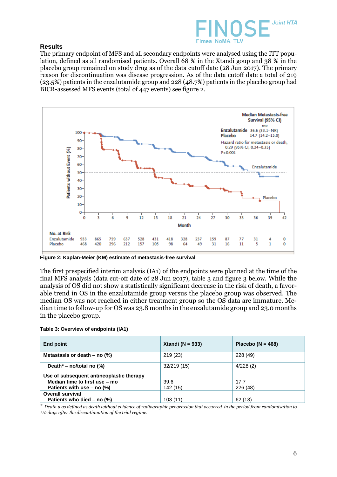

### **Results**

The primary endpoint of MFS and all secondary endpoints were analysed using the ITT population, defined as all randomised patients. Overall 68 % in the Xtandi goup and 38 % in the placebo group remained on study drug as of the data cutoff date (28 Jun 2017). The primary reason for discontinuation was disease progression. As of the data cutoff date a total of 219 (23.5%) patients in the enzalutamide group and 228 (48.7%) patients in the placebo group had BICR-assessed MFS events (total of 447 events) see figure 2.



**Figure 2: Kaplan-Meier (KM) estimate of metastasis-free survival**

The first prespecified interim analysis (IA1) of the endpoints were planned at the time of the final MFS analysis (data cut-off date of 28 Jun 2017), table 3 and figure 3 below. While the analysis of OS did not show a statistically significant decrease in the risk of death, a favorable trend in OS in the enzalutamide group versus the placebo group was observed. The median OS was not reached in either treatment group so the OS data are immature. Median time to follow-up for OS was 23.8 months in the enzalutamide group and 23.0 months in the placebo group.

|  |  | Table 3: Overview of endpoints (IA1) |  |
|--|--|--------------------------------------|--|
|--|--|--------------------------------------|--|

| <b>End point</b>                            | Xtandi ( $N = 933$ ) | Placebo ( $N = 468$ ) |
|---------------------------------------------|----------------------|-----------------------|
| Metastasis or death $-$ no $(\%)$           | 219(23)              | 228 (49)              |
| Death* – no/total no $(\%)$                 | 32/219 (15)          | 4/228(2)              |
| Use of subsequent antineoplastic therapy    |                      |                       |
| Median time to first use - mo               | 39.6                 | 17.7                  |
| Patients with use $-$ no $\left(\% \right)$ | 142 (15)             | 226(48)               |
| <b>Overall survival</b>                     |                      |                       |
| Patients who died $-$ no $\left(\% \right)$ | 103(11)              | 62<br>(13)            |

\* *Death was defined as death without evidence of radiographic progression that occurred in the period from randomisation to 112 days after the discontinuation of the trial regime.*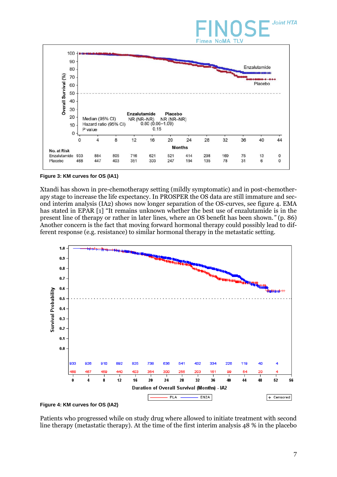# **Joint HTA Fimea NoMA TLV**



**Figure 3: KM curves for OS (IA1)**

Xtandi has shown in pre-chemotherapy setting (mildly symptomatic) and in post-chemotherapy stage to increase the life expectancy. In PROSPER the OS data are still immature and second interim analysis (IA2) shows now longer separation of the OS-curves, see figure 4. EMA has stated in EPAR [\[1\]](#page-22-0) "It remains unknown whether the best use of enzalutamide is in the present line of therapy or rather in later lines, where an OS benefit has been shown.*"* (p. 86) Another concern is the fact that moving forward hormonal therapy could possibly lead to different response (e.g. resistance) to similar hormonal therapy in the metastatic setting.



Patients who progressed while on study drug where allowed to initiate treatment with second line therapy (metastatic therapy). At the time of the first interim analysis 48 % in the placebo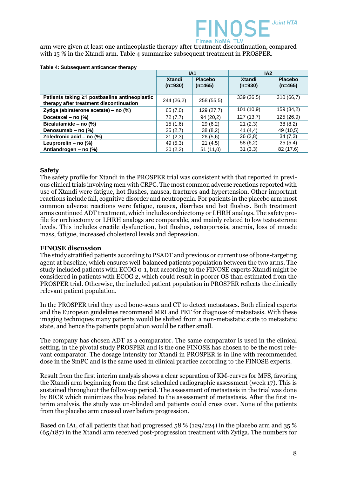

arm were given at least one antineoplastic therapy after treatment discontinuation, compared with 15 % in the Xtandi arm. Table 4 summarize subsequent treatment in PROSPER.

|                                                                                          | IA <sub>1</sub>     |                             | IA2                 |                             |
|------------------------------------------------------------------------------------------|---------------------|-----------------------------|---------------------|-----------------------------|
|                                                                                          | Xtandi<br>$(n=930)$ | <b>Placebo</b><br>$(n=465)$ | Xtandi<br>$(n=930)$ | <b>Placebo</b><br>$(n=465)$ |
| Patients taking ≥1 postbasline antineoplastic<br>therapy after treatment discontinuation | 244 (26,2)          | 258 (55,5)                  | 339(36,5)           | 310(66,7)                   |
| Zytiga (abiraterone acetate) - no (%)                                                    | 65(7,0)             | 129 (27,7)                  | 101 (10,9)          | 159 (34,2)                  |
| Docetaxel - no (%)                                                                       | 72(7,7)             | 94(20,2)                    | 127(13,7)           | 125 (26,9)                  |
| Bicalutamide - no (%)                                                                    | 15(1,6)             | 29(6,2)                     | 21(2,3)             | 38(8,2)                     |
| Denosumab - no (%)                                                                       | 25(2,7)             | 38(8,2)                     | 41 $(4,4)$          | 49 (10.5)                   |
| Zoledronic acid - no (%)                                                                 | 21(2,3)             | 26(5,6)                     | 26(2,8)             | 34(7,3)                     |
| Leuprorelin - no (%)                                                                     | 49 (5,3)            | 21(4,5)                     | 58 (6,2)            | 25(5,4)                     |
| Antiandrogen – no (%)                                                                    | 20(2,2)             | 51(11,0)                    | 31(3,3)             | 82 (17,6)                   |

#### **Table 4: Subsequent anticancer therapy**

### **Safety**

The safety profile for Xtandi in the PROSPER trial was consistent with that reported in previous clinical trials involving men with CRPC. The most common adverse reactions reported with use of Xtandi were fatigue, hot flushes, nausea, fractures and hypertension. Other important reactions include fall, cognitive disorder and neutropenia. For patients in the placebo arm most common adverse reactions were fatigue, nausea, diarrhea and hot flushes. Both treatment arms continued ADT treatment, which includes orchiectomy or LHRH analogs. The safety profile for orchiectomy or LHRH analogs are comparable, and mainly related to low testosterone levels. This includes erectile dysfunction, hot flushes, osteoporosis, anemia, loss of muscle mass, fatigue, increased cholesterol levels and depression.

### **FINOSE discussion**

The study stratified patients according to PSADT and previous or current use of bone-targeting agent at baseline, which ensures well-balanced patients population between the two arms. The study included patients with ECOG 0-1, but according to the FINOSE experts Xtandi might be considered in patients with ECOG 2, which could result in poorer OS than estimated from the PROSPER trial. Otherwise, the included patient population in PROSPER reflects the clinically relevant patient population.

In the PROSPER trial they used bone-scans and CT to detect metastases. Both clinical experts and the European guidelines recommend MRI and PET for diagnose of metastasis. With these imaging techniques many patients would be shifted from a non-metastatic state to metastatic state, and hence the patients population would be rather small.

The company has chosen ADT as a comparator. The same comparator is used in the clinical setting, in the pivotal study PROSPER and is the one FINOSE has chosen to be the most relevant comparator. The dosage intensity for Xtandi in PROSPER is in line with recommended dose in the SmPC and is the same used in clinical practice according to the FINOSE experts.

Result from the first interim analysis shows a clear separation of KM-curves for MFS, favoring the Xtandi arm beginning from the first scheduled radiographic assessment (week 17). This is sustained throughout the follow-up period. The assessment of metastasis in the trial was done by BICR which minimizes the bias related to the assessment of metastasis. After the first interim analysis, the study was un-blinded and patients could cross over. None of the patients from the placebo arm crossed over before progression.

Based on IA1, of all patients that had progressed 58 % (129/224) in the placebo arm and 35 % (65/187) in the Xtandi arm received post-progression treatment with Zytiga. The numbers for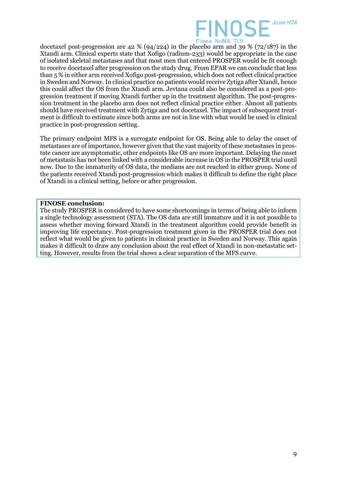

docetaxel post-progression are  $42\%$  (94/224) in the placebo arm and 39 % (72/187) in the Xtandi arm. Clinical experts state that Xofigo (radium-233) would be appropriate in the case of isolated skeletal metastases and that most men that entered PROSPER would be fit enough to receive docetaxel after progression on the study drug. From EPAR we can conclude that less than 5 % in either arm received Xofigo post-progression, which does not reflect clinical practice in Sweden and Norway. In clinical practice no patients would receive Zytiga after Xtandi, hence this could affect the OS from the Xtandi arm. Jevtana could also be considered as a post-progression treatment if moving Xtandi further up in the treatment algorithm. The post-progression treatment in the placebo arm does not reflect clinical practice either. Almost all patients should have received treatment with Zytiga and not docetaxel. The impact of subsequent treatment is difficult to estimate since both arms are not in line with what would be used in clinical practice in post-progression setting.

The primary endpoint MFS is a surrogate endpoint for OS. Being able to delay the onset of metastases are of importance, however given that the vast majority of these metastases in prostate cancer are asymptomatic, other endpoints like OS are more important. Delaying the onset of metastasis has not been linked with a considerable increase in OS in the PROSPER trial until now. Due to the immaturity of OS data, the medians are not reached in either group. None of the patients received Xtandi post-progression which makes it difficult to define the right place of Xtandi in a clinical setting, before or after progression.

### **FINOSE conclusion:**

The study PROSPER is considered to have some shortcomings in terms of being able to inform a single technology assessment (STA). The OS data are still immature and it is not possible to assess whether moving forward Xtandi in the treatment algorithm could provide benefit in improving life expectancy. Post-progression treatment given in the PROSPER trial does not reflect what would be given to patients in clinical practice in Sweden and Norway. This again makes it difficult to draw any conclusion about the real effect of Xtandi in non-metastatic setting. However, results from the trial shows a clear separation of the MFS curve.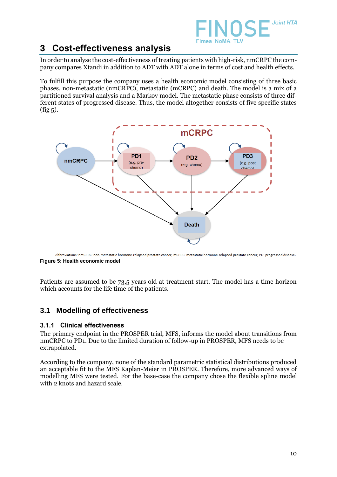

### **3 Cost-effectiveness analysis**

In order to analyse the cost-effectiveness of treating patients with high-risk, nmCRPC the company compares Xtandi in addition to ADT with ADT alone in terms of cost and health effects.

To fulfill this purpose the company uses a health economic model consisting of three basic phases, non-metastatic (nmCRPC), metastatic (mCRPC) and death. The model is a mix of a partitioned survival analysis and a Markov model. The metastatic phase consists of three different states of progressed disease. Thus, the model altogether consists of five specific states  $(fig 5)$ .



Abbreviations: nmCRPC: non-metastatic hormone-relapsed prostate cancer; mCRPC: metastatic hormone-relapsed prostate cancer; PD: progressed disease. **Figure 5: Health economic model**

Patients are assumed to be 73,5 years old at treatment start. The model has a time horizon which accounts for the life time of the patients.

### **3.1 Modelling of effectiveness**

### 3.1.1 Clinical effectiveness

The primary endpoint in the PROSPER trial, MFS, informs the model about transitions from nmCRPC to PD1. Due to the limited duration of follow-up in PROSPER, MFS needs to be extrapolated.

According to the company, none of the standard parametric statistical distributions produced an acceptable fit to the MFS Kaplan-Meier in PROSPER. Therefore, more advanced ways of modelling MFS were tested. For the base-case the company chose the flexible spline model with 2 knots and hazard scale.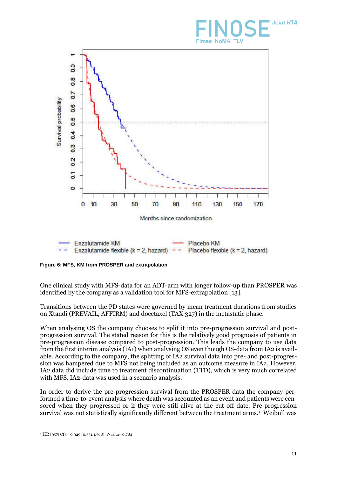# **Joint HTA Fimea NoMA TLV**



**Figure 6: MFS, KM from PROSPER and extrapolation** 

One clinical study with MFS-data for an ADT-arm with longer follow-up than PROSPER was identified by the company as a validation tool for MFS-extrapolation [\[13\]](#page-23-0).

Transitions between the PD states were governed by mean treatment durations from studies on Xtandi (PREVAIL, AFFIRM) and docetaxel (TAX 327) in the metastatic phase.

When analysing OS the company chooses to split it into pre-progression survival and postprogression survival. The stated reason for this is the relatively good prognosis of patients in pre-progression disease compared to post-progression. This leads the company to use data from the first interim analysis (IA1) when analysing OS even though OS-data from IA2 is available. According to the company, the splitting of IA2 survival data into pre- and post-progression was hampered due to MFS not being included as an outcome measure in IA2. However, IA2 data did include time to treatment discontinuation (TTD), which is very much correlated with MFS. IA2-data was used in a scenario analysis.

In order to derive the pre-progression survival from the PROSPER data the company performed a time-to-event analysis where death was accounted as an event and patients were censored when they progressed or if they were still alive at the cut-off date. Pre-progression survival was not statistically significantly different between the treatment arms.<sup>1</sup> Weibull was

 $\overline{a}$ <sup>1</sup> HR [95% CI] = 0,929 [0,551;1,568]. P-value=0,784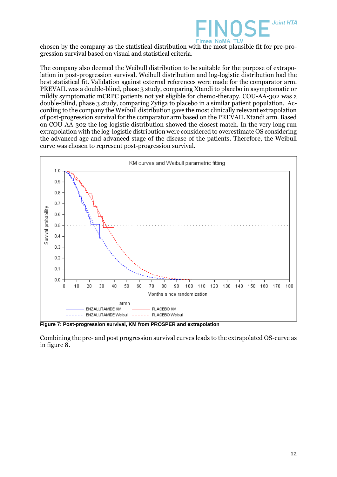

chosen by the company as the statistical distribution with the most plausible fit for pre-progression survival based on visual and statistical criteria.

The company also deemed the Weibull distribution to be suitable for the purpose of extrapolation in post-progression survival. Weibull distribution and log-logistic distribution had the best statistical fit. Validation against external references were made for the comparator arm. PREVAIL was a double-blind, phase 3 study, comparing Xtandi to placebo in asymptomatic or mildly symptomatic mCRPC patients not yet eligible for chemo-therapy. COU-AA-302 was a double-blind, phase 3 study, comparing Zytiga to placebo in a similar patient population. According to the company the Weibull distribution gave the most clinically relevant extrapolation of post-progression survival for the comparator arm based on the PREVAIL Xtandi arm. Based on COU-AA-302 the log-logistic distribution showed the closest match. In the very long run extrapolation with the log-logistic distribution were considered to overestimate OS considering the advanced age and advanced stage of the disease of the patients. Therefore, the Weibull curve was chosen to represent post-progression survival.



**Figure 7: Post-progression survival, KM from PROSPER and extrapolation**

Combining the pre- and post progression survival curves leads to the extrapolated OS-curve as in figure 8.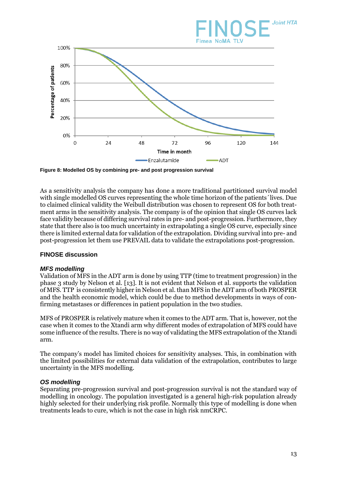

**Figure 8: Modelled OS by combining pre- and post progression survival**

As a sensitivity analysis the company has done a more traditional partitioned survival model with single modelled OS curves representing the whole time horizon of the patients' lives. Due to claimed clinical validity the Weibull distribution was chosen to represent OS for both treatment arms in the sensitivity analysis. The company is of the opinion that single OS curves lack face validity because of differing survival rates in pre- and post-progression. Furthermore, they state that there also is too much uncertainty in extrapolating a single OS curve, especially since there is limited external data for validation of the extrapolation. Dividing survival into pre- and post-progression let them use PREVAIL data to validate the extrapolations post-progression.

### **FINOSE discussion**

### *MFS modelling*

Validation of MFS in the ADT arm is done by using TTP (time to treatment progression) in the phase 3 study by Nelson et al. [\[13\]](#page-23-0). It is not evident that Nelson et al. supports the validation of MFS. TTP is consistently higher in Nelson et al. than MFS in the ADT arm of both PROSPER and the health economic model, which could be due to method developments in ways of confirming metastases or differences in patient population in the two studies.

MFS of PROSPER is relatively mature when it comes to the ADT arm. That is, however, not the case when it comes to the Xtandi arm why different modes of extrapolation of MFS could have some influence of the results. There is no way of validating the MFS extrapolation of the Xtandi arm.

The company's model has limited choices for sensitivity analyses. This, in combination with the limited possibilities for external data validation of the extrapolation, contributes to large uncertainty in the MFS modelling.

### *OS modelling*

Separating pre-progression survival and post-progression survival is not the standard way of modelling in oncology. The population investigated is a general high-risk population already highly selected for their underlying risk profile. Normally this type of modelling is done when treatments leads to cure, which is not the case in high risk nmCRPC.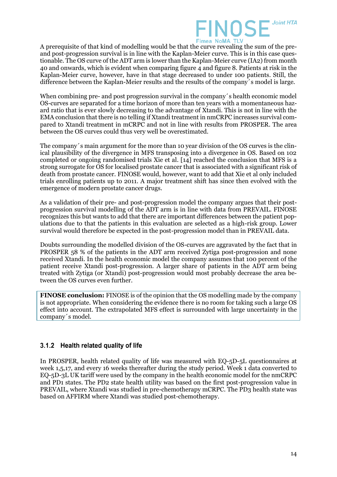

A prerequisite of that kind of modelling would be that the curve revealing the sum of the preand post-progression survival is in line with the Kaplan-Meier curve. This is in this case questionable. The OS curve of the ADT arm is lower than the Kaplan-Meier curve (IA2) from month 40 and onwards, which is evident when comparing figure  $\overline{4}$  and figure 8. Patients at risk in the Kaplan-Meier curve, however, have in that stage decreased to under 100 patients. Still, the difference between the Kaplan-Meier results and the results of the company´s model is large.

When combining pre- and post progression survival in the company's health economic model OS-curves are separated for a time horizon of more than ten years with a momentaneous hazard ratio that is ever slowly decreasing to the advantage of Xtandi. This is not in line with the EMA conclusion that there is no telling if Xtandi treatment in nmCRPC increases survival compared to Xtandi treatment in mCRPC and not in line with results from PROSPER. The area between the OS curves could thus very well be overestimated.

The company´s main argument for the more than 10 year division of the OS curves is the clinical plausibility of the divergence in MFS transposing into a divergence in OS. Based on 102 completed or ongoing randomised trials Xie et al. [\[14\]](#page-23-1) reached the conclusion that MFS is a strong surrogate for OS for localised prostate cancer that is associated with a significant risk of death from prostate cancer. FINOSE would, however, want to add that Xie et al only included trials enrolling patients up to 2011. A major treatment shift has since then evolved with the emergence of modern prostate cancer drugs.

As a validation of their pre- and post-progression model the company argues that their postprogression survival modelling of the ADT arm is in line with data from PREVAIL. FINOSE recognizes this but wants to add that there are important differences between the patient populations due to that the patients in this evaluation are selected as a high-risk group. Lower survival would therefore be expected in the post-progression model than in PREVAIL data.

Doubts surrounding the modelled division of the OS-curves are aggravated by the fact that in PROSPER 58 % of the patients in the ADT arm received Zytiga post-progression and none received Xtandi. In the health economic model the company assumes that 100 percent of the patient receive Xtandi post-progression. A larger share of patients in the ADT arm being treated with Zytiga (or Xtandi) post-progression would most probably decrease the area between the OS curves even further.

**FINOSE conclusion:** FINOSE is of the opinion that the OS modelling made by the company is not appropriate. When considering the evidence there is no room for taking such a large OS effect into account. The extrapolated MFS effect is surrounded with large uncertainty in the company´s model.

### 3.1.2 Health related quality of life

In PROSPER, health related quality of life was measured with EQ-5D-5L questionnaires at week 1,5,17, and every 16 weeks thereafter during the study period. Week 1 data converted to EQ-5D-3L UK tariff were used by the company in the health economic model for the nmCRPC and PD1 states. The PD2 state health utility was based on the first post-progression value in PREVAIL, where Xtandi was studied in pre-chemotherapy mCRPC. The PD3 health state was based on AFFIRM where Xtandi was studied post-chemotherapy.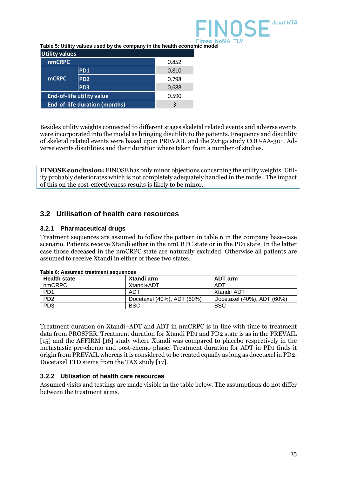

**Table 5: Utility values used by the company in the health economic model**

| <b>Utility values</b>                |                 |       |  |  |
|--------------------------------------|-----------------|-------|--|--|
| <b>nmCRPC</b>                        |                 | 0,852 |  |  |
|                                      | <b>PD1</b>      | 0,810 |  |  |
| <b>mCRPC</b>                         | PD <sub>2</sub> | 0,798 |  |  |
|                                      | PD <sub>3</sub> | 0,688 |  |  |
| <b>End-of-life utility value</b>     |                 | 0,590 |  |  |
| <b>End-of-life duration (months)</b> |                 | 3     |  |  |

Besides utility weights connected to different stages skeletal related events and adverse events were incorporated into the model as bringing disutility to the patients. Frequency and disutility of skeletal related events were based upon PREVAIL and the Zytiga study COU-AA-301. Adverse events disutilities and their duration where taken from a number of studies.

**FINOSE conclusion:** FINOSE has only minor objections concerning the utility weights. Utility probably deteriorates which is not completely adequately handled in the model. The impact of this on the cost-effectiveness results is likely to be minor.

### **3.2 Utilisation of health care resources**

### **3.2.1 Pharmaceutical drugs**

Treatment sequences are assumed to follow the pattern in table 6 in the company base-case scenario. Patients receive Xtandi either in the nmCRPC state or in the PD1 state. In the latter case those deceased in the nmCRPC state are naturally excluded. Otherwise all patients are assumed to receive Xtandi in either of these two states.

| <b>Health state</b> | Xtandi arm                 | ADT arm                    |  |  |
|---------------------|----------------------------|----------------------------|--|--|
| nmCRPC              | Xtandi+ADT                 | ADT                        |  |  |
| P <sub>D</sub> 1    | ADT                        | Xtandi+ADT                 |  |  |
| PD <sub>2</sub>     | Docetaxel (40%), ADT (60%) | Docetaxel (40%), ADT (60%) |  |  |
| PD <sub>3</sub>     | <b>BSC</b>                 | <b>BSC</b>                 |  |  |

**Table 6: Assumed treatment sequences**

Treatment duration on Xtandi+ADT and ADT in nmCRPC is in line with time to treatment data from PROSPER. Treatment duration for Xtandi PD1 and PD2 state is as in the PREVAIL [\[15\]](#page-23-2) and the AFFIRM [\[16\]](#page-23-3) study where Xtandi was compared to placebo respectively in the metastastic pre-chemo and post-chemo phase. Treatment duration for ADT in PD1 finds it origin from PREVAIL whereas it is considered to be treated equally as long as docetaxel in PD2. Docetaxel TTD stems from the TAX study [\[17\]](#page-23-4).

### 3.2.2 Utilisation of health care resources

Assumed visits and testings are made visible in the table below. The assumptions do not differ between the treatment arms.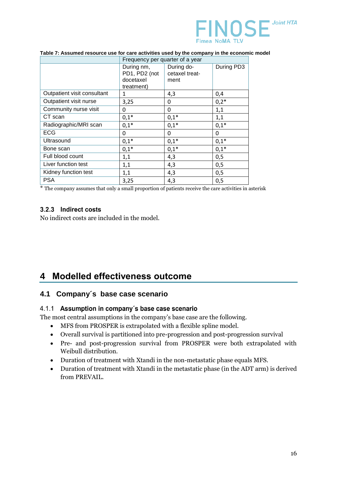

|                             | Frequency per quarter of a year                        |                                      |            |
|-----------------------------|--------------------------------------------------------|--------------------------------------|------------|
|                             | During nm,<br>PD1, PD2 (not<br>docetaxel<br>treatment) | During do-<br>cetaxel treat-<br>ment | During PD3 |
| Outpatient visit consultant | 1                                                      | 4,3                                  | 0,4        |
| Outpatient visit nurse      | 3,25                                                   | 0                                    | $0,2*$     |
| Community nurse visit       | 0                                                      | 0                                    | 1,1        |
| CT scan                     | $0,1*$                                                 | $0,1*$                               | 1,1        |
| Radiographic/MRI scan       | $0,1*$                                                 | $0,1*$                               | $0,1*$     |
| <b>ECG</b>                  | 0                                                      | 0                                    | 0          |
| Ultrasound                  | $0,1*$                                                 | $0,1*$                               | $0,1*$     |
| Bone scan                   | $0,1*$                                                 | $0,1*$                               | $0,1*$     |
| Full blood count            | 1,1                                                    | 4,3                                  | 0,5        |
| Liver function test         | 1,1                                                    | 4,3                                  | 0,5        |
| Kidney function test        | 1,1                                                    | 4,3                                  | 0,5        |
| <b>PSA</b>                  | 3,25                                                   | 4,3                                  | 0,5        |

#### **Table 7: Assumed resource use for care activities used by the company in the economic model**

\* The company assumes that only a small proportion of patients receive the care activities in asterisk

### 3.2.3 Indirect costs

No indirect costs are included in the model.

### **4 Modelled effectiveness outcome**

### **4.1 Company´s base case scenario**

### 4.1.1 Assumption in company's base case scenario

The most central assumptions in the company's base case are the following.

- MFS from PROSPER is extrapolated with a flexible spline model.
- Overall survival is partitioned into pre-progression and post-progression survival
- Pre- and post-progression survival from PROSPER were both extrapolated with Weibull distribution.
- Duration of treatment with Xtandi in the non-metastatic phase equals MFS.
- Duration of treatment with Xtandi in the metastatic phase (in the ADT arm) is derived from PREVAIL.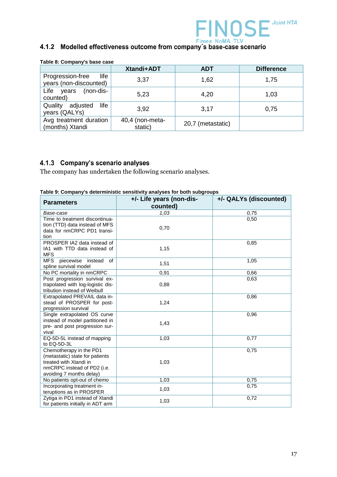

# Fimea NoMA TLV<br>4.1.2 Modelled effectiveness outcome from company's base-case scenario

|                                                    | <b>Xtandi+ADT</b>          | <b>ADT</b>        | <b>Difference</b> |
|----------------------------------------------------|----------------------------|-------------------|-------------------|
| Progression-free<br>life<br>years (non-discounted) | 3,37                       | 1,62              | 1,75              |
| Life years<br>(non-dis-<br>counted)                | 5,23                       | 4,20              | 1,03              |
| Quality<br>life<br>adjusted<br>years (QALYs)       | 3,92                       | 3,17              | 0,75              |
| Avg treatment duration<br>(months) Xtandi          | 40,4 (non-meta-<br>static) | 20,7 (metastatic) |                   |

#### **Table 8: Company's base case**

### 4.1.3 Company's scenario analyses

The company has undertaken the following scenario analyses.

#### **Table 9: Company's deterministic sensitivity analyses for both subgroups**

| <b>Parameters</b>                                                 | +/- Life years (non-dis- | +/- QALYs (discounted) |
|-------------------------------------------------------------------|--------------------------|------------------------|
|                                                                   | counted)                 |                        |
| Base-case                                                         | 1,03                     | 0.75                   |
| Time to treatment discontinua-                                    |                          | 0,50                   |
| tion (TTD) data instead of MFS                                    | 0,70                     |                        |
| data for nmCRPC PD1 transi-                                       |                          |                        |
| tion                                                              |                          |                        |
| PROSPER IA2 data instead of<br>IA1 with TTD data instead of       | 1,15                     | 0,85                   |
| <b>MFS</b>                                                        |                          |                        |
| <b>MFS</b><br>piecewise instead<br>of                             |                          | 1,05                   |
| spline survival model                                             | 1,51                     |                        |
| No PC mortality in nmCRPC                                         | 0,91                     | 0,66                   |
| Post progression survival ex-                                     |                          | 0,63                   |
| trapolated with log-logistic dis-                                 | 0,88                     |                        |
| tribution instead of Weibull                                      |                          |                        |
| Extrapolated PREVAIL data in-                                     |                          | 0,86                   |
| stead of PROSPER for post-                                        | 1,24                     |                        |
| progression survival                                              |                          |                        |
| Single extrapolated OS curve                                      |                          | 0,96                   |
| instead of model partitioned in<br>pre- and post progression sur- | 1,43                     |                        |
| vival                                                             |                          |                        |
| EQ-5D-5L instead of mapping                                       | 1,03                     | 0,77                   |
| to EQ-5D-3L                                                       |                          |                        |
| Chemotherapy in the PD1                                           |                          | 0,75                   |
| (metastatic) state for patients                                   |                          |                        |
| treated with Xtandi in                                            | 1,03                     |                        |
| nmCRPC instead of PD2 (i.e.                                       |                          |                        |
| avoiding 7 months delay)                                          |                          |                        |
| No patients opt-out of chemo                                      | 1,03                     | 0,75                   |
| Incorporating treatment in-                                       | 1,03                     | 0,75                   |
| teruptions as in PROSPER<br>Zytiga in PD1 instead of Xtandi       |                          | 0,72                   |
| for patients initially in ADT arm                                 | 1,03                     |                        |
|                                                                   |                          |                        |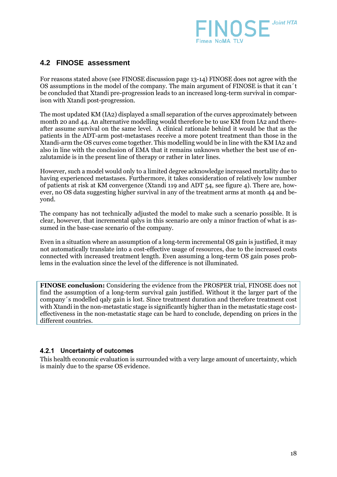

### **4.2 FINOSE assessment**

For reasons stated above (see FINOSE discussion page 13-14) FINOSE does not agree with the OS assumptions in the model of the company. The main argument of FINOSE is that it can´t be concluded that Xtandi pre-progression leads to an increased long-term survival in comparison with Xtandi post-progression.

The most updated KM (IA2) displayed a small separation of the curves approximately between month 20 and 44. An alternative modelling would therefore be to use KM from IA2 and thereafter assume survival on the same level. A clinical rationale behind it would be that as the patients in the ADT-arm post-metastases receive a more potent treatment than those in the Xtandi-arm the OS curves come together. This modelling would be in line with the KM IA2 and also in line with the conclusion of EMA that it remains unknown whether the best use of enzalutamide is in the present line of therapy or rather in later lines.

However, such a model would only to a limited degree acknowledge increased mortality due to having experienced metastases. Furthermore, it takes consideration of relatively low number of patients at risk at KM convergence (Xtandi 119 and ADT 54, see figure 4). There are, however, no OS data suggesting higher survival in any of the treatment arms at month 44 and beyond.

The company has not technically adjusted the model to make such a scenario possible. It is clear, however, that incremental qalys in this scenario are only a minor fraction of what is assumed in the base-case scenario of the company.

Even in a situation where an assumption of a long-term incremental OS gain is justified, it may not automatically translate into a cost-effective usage of resources, due to the increased costs connected with increased treatment length. Even assuming a long-term OS gain poses problems in the evaluation since the level of the difference is not illuminated.

**FINOSE conclusion:** Considering the evidence from the PROSPER trial, FINOSE does not find the assumption of a long-term survival gain justified. Without it the larger part of the company´s modelled qaly gain is lost. Since treatment duration and therefore treatment cost with Xtandi in the non-metastatic stage is significantly higher than in the metastatic stage costeffectiveness in the non-metastatic stage can be hard to conclude, depending on prices in the different countries.

### 4.2.1 Uncertainty of outcomes

This health economic evaluation is surrounded with a very large amount of uncertainty, which is mainly due to the sparse OS evidence.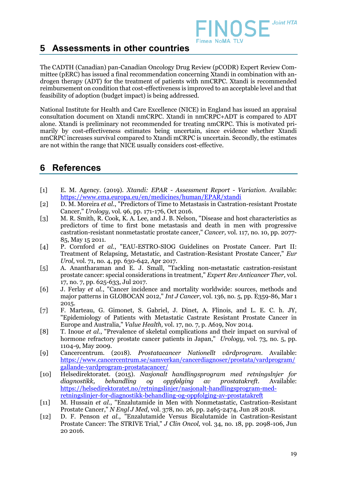

### **5 Assessments in other countries**

The CADTH (Canadian) pan-Canadian Oncology Drug Review (pCODR) Expert Review Committee (pERC) has issued a final recommendation concerning Xtandi in combination with androgen therapy (ADT) for the treatment of patients with nmCRPC. Xtandi is recommended reimbursement on condition that cost-effectiveness is improved to an acceptable level and that feasibility of adoption (budget impact) is being addressed.

National Institute for Health and Care Excellence (NICE) in England has issued an appraisal consultation document on Xtandi nmCRPC. Xtandi in nmCRPC+ADT is compared to ADT alone. Xtandi is preliminary not recommended for treating nmCRPC. This is motivated primarily by cost-effectiveness estimates being uncertain, since evidence whether Xtandi nmCRPC increases survival compared to Xtandi mCRPC is uncertain. Secondly, the estimates are not within the range that NICE usually considers cost-effective.

### **6 References**

- <span id="page-22-0"></span>[1] E. M. Agency. (2019). *Xtandi: EPAR - Assessment Report - Variation*. Available: <https://www.ema.europa.eu/en/medicines/human/EPAR/xtandi>
- <span id="page-22-1"></span>[2] D. M. Moreira *et al.*, "Predictors of Time to Metastasis in Castration-resistant Prostate Cancer," *Urology,* vol. 96, pp. 171-176, Oct 2016.
- <span id="page-22-2"></span>[3] M. R. Smith, R. Cook, K. A. Lee, and J. B. Nelson, "Disease and host characteristics as predictors of time to first bone metastasis and death in men with progressive castration-resistant nonmetastatic prostate cancer," *Cancer,* vol. 117, no. 10, pp. 2077- 85, May 15 2011.
- <span id="page-22-3"></span>[4] P. Cornford *et al.*, "EAU-ESTRO-SIOG Guidelines on Prostate Cancer. Part II: Treatment of Relapsing, Metastatic, and Castration-Resistant Prostate Cancer," *Eur Urol,* vol. 71, no. 4, pp. 630-642, Apr 2017.
- <span id="page-22-4"></span>[5] A. Anantharaman and E. J. Small, "Tackling non-metastatic castration-resistant prostate cancer: special considerations in treatment," *Expert Rev Anticancer Ther,* vol. 17, no. 7, pp. 625-633, Jul 2017.
- <span id="page-22-5"></span>[6] J. Ferlay *et al.*, "Cancer incidence and mortality worldwide: sources, methods and major patterns in GLOBOCAN 2012," *Int J Cancer,* vol. 136, no. 5, pp. E359-86, Mar 1 2015.
- <span id="page-22-6"></span>[7] F. Marteau, G. Gimonet, S. Gabriel, J. Dinet, A. Flinois, and L. E. C. h. JY, "Epidemiology of Patients with Metastatic Castrate Resistant Prostate Cancer in Europe and Australia," *Value Health,* vol. 17, no. 7, p. A619, Nov 2014.
- <span id="page-22-7"></span>[8] T. Inoue *et al.*, "Prevalence of skeletal complications and their impact on survival of hormone refractory prostate cancer patients in Japan," *Urology,* vol. 73, no. 5, pp. 1104-9, May 2009.
- <span id="page-22-8"></span>[9] Cancercentrum. (2018). *Prostatacancer Nationellt vårdprogram*. Available: [https://www.cancercentrum.se/samverkan/cancerdiagnoser/prostata/vardprogram/](https://www.cancercentrum.se/samverkan/cancerdiagnoser/prostata/vardprogram/gallande-vardprogram-prostatacancer/) [gallande-vardprogram-prostatacancer/](https://www.cancercentrum.se/samverkan/cancerdiagnoser/prostata/vardprogram/gallande-vardprogram-prostatacancer/)
- <span id="page-22-9"></span>[10] Helsedirektoratet. (2015). *Nasjonalt handlingsprogram med retningslnjer for diagnostikk, behandling og oppfølging av prostatakreft*. Available: [https://helsedirektoratet.no/retningslinjer/nasjonalt-handlingsprogram-med](https://helsedirektoratet.no/retningslinjer/nasjonalt-handlingsprogram-med-retningslinjer-for-diagnostikk-behandling-og-oppfolging-av-prostatakreft)[retningslinjer-for-diagnostikk-behandling-og-oppfolging-av-prostatakreft](https://helsedirektoratet.no/retningslinjer/nasjonalt-handlingsprogram-med-retningslinjer-for-diagnostikk-behandling-og-oppfolging-av-prostatakreft)
- <span id="page-22-10"></span>[11] M. Hussain *et al.*, "Enzalutamide in Men with Nonmetastatic, Castration-Resistant Prostate Cancer," *N Engl J Med,* vol. 378, no. 26, pp. 2465-2474, Jun 28 2018.
- <span id="page-22-11"></span>[12] D. F. Penson *et al.*, "Enzalutamide Versus Bicalutamide in Castration-Resistant Prostate Cancer: The STRIVE Trial," *J Clin Oncol,* vol. 34, no. 18, pp. 2098-106, Jun 20 2016.